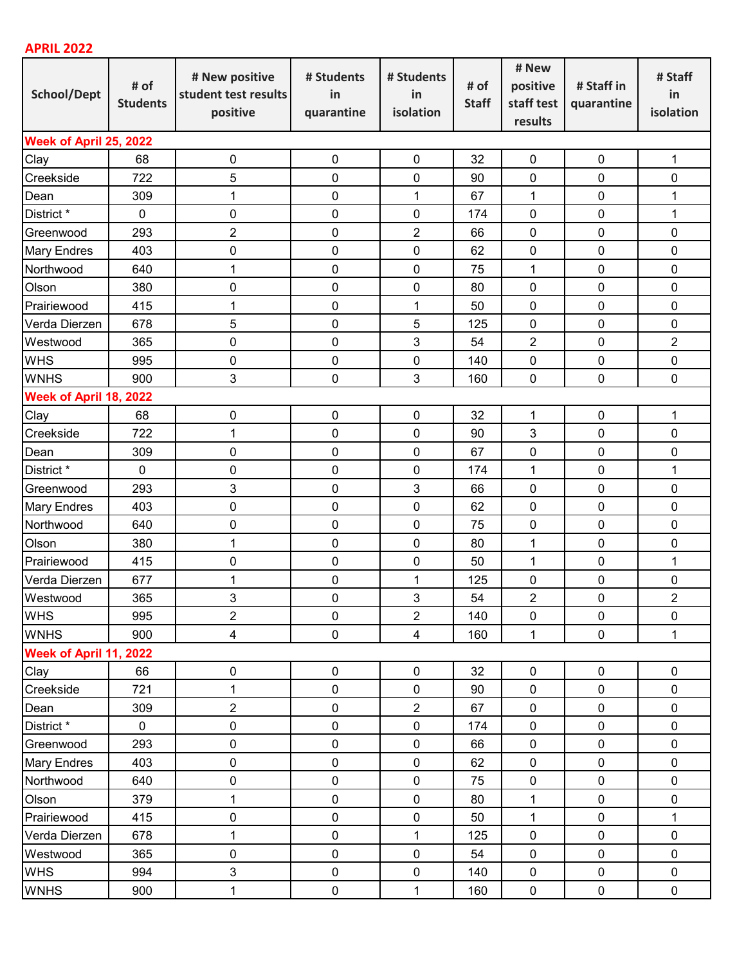## **APRIL 2022**

| School/Dept            | # of<br><b>Students</b> | # New positive<br>student test results<br>positive | # Students<br>in<br>quarantine | # Students<br>in<br>isolation | # of<br><b>Staff</b> | # New<br>positive<br>staff test<br>results | # Staff in<br>quarantine | # Staff<br>in<br>isolation |  |  |  |
|------------------------|-------------------------|----------------------------------------------------|--------------------------------|-------------------------------|----------------------|--------------------------------------------|--------------------------|----------------------------|--|--|--|
| Week of April 25, 2022 |                         |                                                    |                                |                               |                      |                                            |                          |                            |  |  |  |
| Clay                   | 68                      | $\pmb{0}$                                          | $\mathbf 0$                    | $\pmb{0}$                     | 32                   | $\pmb{0}$                                  | $\pmb{0}$                | 1                          |  |  |  |
| Creekside              | 722                     | 5                                                  | 0                              | $\mathbf 0$                   | 90                   | $\mathbf 0$                                | 0                        | 0                          |  |  |  |
| Dean                   | 309                     | 1                                                  | $\pmb{0}$                      | 1                             | 67                   | 1                                          | 0                        | 1                          |  |  |  |
| District *             | $\pmb{0}$               | 0                                                  | $\pmb{0}$                      | $\mathbf 0$                   | 174                  | $\mathbf 0$                                | 0                        | 1                          |  |  |  |
| Greenwood              | 293                     | $\overline{c}$                                     | $\pmb{0}$                      | $\sqrt{2}$                    | 66                   | $\mathbf 0$                                | 0                        | 0                          |  |  |  |
| <b>Mary Endres</b>     | 403                     | 0                                                  | 0                              | $\mathbf 0$                   | 62                   | $\mathbf 0$                                | 0                        | $\mathbf 0$                |  |  |  |
| Northwood              | 640                     | 1                                                  | $\pmb{0}$                      | $\mathbf 0$                   | 75                   | 1                                          | 0                        | 0                          |  |  |  |
| Olson                  | 380                     | 0                                                  | $\pmb{0}$                      | $\mathbf 0$                   | 80                   | $\mathbf 0$                                | 0                        | 0                          |  |  |  |
| Prairiewood            | 415                     | 1                                                  | $\pmb{0}$                      | 1                             | 50                   | $\mathbf 0$                                | 0                        | 0                          |  |  |  |
| Verda Dierzen          | 678                     | 5                                                  | 0                              | 5                             | 125                  | $\mathbf 0$                                | 0                        | $\pmb{0}$                  |  |  |  |
| Westwood               | 365                     | 0                                                  | $\pmb{0}$                      | 3                             | 54                   | $\overline{2}$                             | 0                        | $\overline{2}$             |  |  |  |
| <b>WHS</b>             | 995                     | 0                                                  | $\pmb{0}$                      | $\mathbf 0$                   | 140                  | $\mathbf 0$                                | 0                        | 0                          |  |  |  |
| <b>WNHS</b>            | 900                     | 3                                                  | $\mathbf 0$                    | $\mathbf{3}$                  | 160                  | $\mathbf 0$                                | $\mathbf 0$              | $\mathbf 0$                |  |  |  |
| Week of April 18, 2022 |                         |                                                    |                                |                               |                      |                                            |                          |                            |  |  |  |
| Clay                   | 68                      | 0                                                  | $\pmb{0}$                      | $\mathbf 0$                   | 32                   | 1                                          | $\mathbf 0$              | 1                          |  |  |  |
| Creekside              | 722                     | 1                                                  | $\pmb{0}$                      | $\mathbf 0$                   | 90                   | 3                                          | 0                        | 0                          |  |  |  |
| Dean                   | 309                     | 0                                                  | $\pmb{0}$                      | $\mathbf 0$                   | 67                   | $\pmb{0}$                                  | 0                        | 0                          |  |  |  |
| District *             | $\mathbf 0$             | 0                                                  | $\pmb{0}$                      | $\mathbf 0$                   | 174                  | $\mathbf 1$                                | 0                        | $\mathbf{1}$               |  |  |  |
| Greenwood              | 293                     | 3                                                  | $\pmb{0}$                      | $\mathbf{3}$                  | 66                   | $\mathbf 0$                                | 0                        | 0                          |  |  |  |
| <b>Mary Endres</b>     | 403                     | 0                                                  | $\pmb{0}$                      | $\mathbf 0$                   | 62                   | $\mathbf 0$                                | 0                        | 0                          |  |  |  |
| Northwood              | 640                     | 0                                                  | $\pmb{0}$                      | $\mathbf 0$                   | 75                   | $\mathbf 0$                                | 0                        | 0                          |  |  |  |
| Olson                  | 380                     | 1                                                  | 0                              | $\mathbf 0$                   | 80                   | $\mathbf 1$                                | 0                        | 0                          |  |  |  |
| Prairiewood            | 415                     | 0                                                  | $\pmb{0}$                      | $\mathbf 0$                   | 50                   | 1                                          | 0                        | 1                          |  |  |  |
| Verda Dierzen          | 677                     | 1                                                  | $\pmb{0}$                      | 1                             | 125                  | $\mathbf 0$                                | 0                        | 0                          |  |  |  |
| Westwood               | 365                     | 3                                                  | $\mathbf 0$                    | 3                             | 54                   | $\overline{2}$                             | $\mathbf 0$              | $\overline{2}$             |  |  |  |
| <b>WHS</b>             | 995                     | $\overline{2}$                                     | $\pmb{0}$                      | $\overline{2}$                | 140                  | $\pmb{0}$                                  | $\mathbf 0$              | $\mathbf 0$                |  |  |  |
| <b>WNHS</b>            | 900                     | $\overline{4}$                                     | $\pmb{0}$                      | $\overline{4}$                | 160                  | $\mathbf{1}$                               | $\pmb{0}$                | 1                          |  |  |  |
| Week of April 11, 2022 |                         |                                                    |                                |                               |                      |                                            |                          |                            |  |  |  |
| Clay                   | 66                      | $\pmb{0}$                                          | $\pmb{0}$                      | $\mathbf 0$                   | 32                   | $\pmb{0}$                                  | $\mathbf 0$              | 0                          |  |  |  |
| Creekside              | 721                     | 1                                                  | $\pmb{0}$                      | $\pmb{0}$                     | 90                   | $\pmb{0}$                                  | $\pmb{0}$                | $\pmb{0}$                  |  |  |  |
| Dean                   | 309                     | $\overline{2}$                                     | $\pmb{0}$                      | $\overline{2}$                | 67                   | $\pmb{0}$                                  | $\pmb{0}$                | $\pmb{0}$                  |  |  |  |
| District *             | $\mathbf 0$             | 0                                                  | $\pmb{0}$                      | $\pmb{0}$                     | 174                  | $\pmb{0}$                                  | $\pmb{0}$                | $\mathbf 0$                |  |  |  |
| Greenwood              | 293                     | 0                                                  | $\pmb{0}$                      | $\mathbf 0$                   | 66                   | $\pmb{0}$                                  | $\mathbf 0$              | $\mathbf 0$                |  |  |  |
| <b>Mary Endres</b>     | 403                     | 0                                                  | $\pmb{0}$                      | $\pmb{0}$                     | 62                   | $\pmb{0}$                                  | $\pmb{0}$                | $\pmb{0}$                  |  |  |  |
| Northwood              | 640                     | 0                                                  | 0                              | $\pmb{0}$                     | 75                   | $\pmb{0}$                                  | $\pmb{0}$                | $\pmb{0}$                  |  |  |  |
| Olson                  | 379                     | 1                                                  | 0                              | $\mathbf 0$                   | 80                   | 1                                          | $\mathbf 0$              | $\pmb{0}$                  |  |  |  |
| Prairiewood            | 415                     | 0                                                  | $\pmb{0}$                      | $\pmb{0}$                     | 50                   | 1                                          | $\pmb{0}$                | 1                          |  |  |  |
| Verda Dierzen          | 678                     | 1                                                  | 0                              | 1                             | 125                  | $\pmb{0}$                                  | $\pmb{0}$                | $\pmb{0}$                  |  |  |  |
| Westwood               | 365                     | $\pmb{0}$                                          | 0                              | $\pmb{0}$                     | 54                   | $\pmb{0}$                                  | $\pmb{0}$                | $\pmb{0}$                  |  |  |  |
| <b>WHS</b>             | 994                     | 3                                                  | $\pmb{0}$                      | $\pmb{0}$                     | 140                  | $\pmb{0}$                                  | $\pmb{0}$                | $\pmb{0}$                  |  |  |  |
| <b>WNHS</b>            | 900                     | 1                                                  | $\pmb{0}$                      | $\mathbf 1$                   | 160                  | $\pmb{0}$                                  | $\pmb{0}$                | $\pmb{0}$                  |  |  |  |